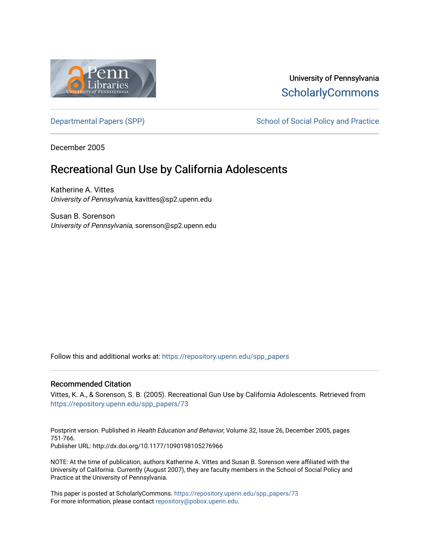

## University of Pennsylvania **ScholarlyCommons**

[Departmental Papers \(SPP\)](https://repository.upenn.edu/spp_papers) School of Social Policy and Practice

December 2005

# Recreational Gun Use by California Adolescents

Katherine A. Vittes University of Pennsylvania, kavittes@sp2.upenn.edu

Susan B. Sorenson University of Pennsylvania, sorenson@sp2.upenn.edu

Follow this and additional works at: [https://repository.upenn.edu/spp\\_papers](https://repository.upenn.edu/spp_papers?utm_source=repository.upenn.edu%2Fspp_papers%2F73&utm_medium=PDF&utm_campaign=PDFCoverPages) 

## Recommended Citation

Vittes, K. A., & Sorenson, S. B. (2005). Recreational Gun Use by California Adolescents. Retrieved from [https://repository.upenn.edu/spp\\_papers/73](https://repository.upenn.edu/spp_papers/73?utm_source=repository.upenn.edu%2Fspp_papers%2F73&utm_medium=PDF&utm_campaign=PDFCoverPages)

Postprint version. Published in Health Education and Behavior, Volume 32, Issue 26, December 2005, pages 751-766. Publisher URL: http://dx.doi.org/10.1177/1090198105276966

NOTE: At the time of publication, authors Katherine A. Vittes and Susan B. Sorenson were affiliated with the University of California. Currently (August 2007), they are faculty members in the School of Social Policy and Practice at the University of Pennsylvania.

This paper is posted at ScholarlyCommons. [https://repository.upenn.edu/spp\\_papers/73](https://repository.upenn.edu/spp_papers/73)  For more information, please contact [repository@pobox.upenn.edu.](mailto:repository@pobox.upenn.edu)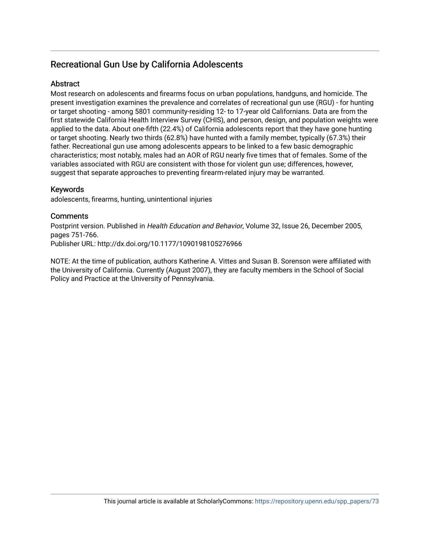## Recreational Gun Use by California Adolescents

## **Abstract**

Most research on adolescents and firearms focus on urban populations, handguns, and homicide. The present investigation examines the prevalence and correlates of recreational gun use (RGU) - for hunting or target shooting - among 5801 community-residing 12- to 17-year old Californians. Data are from the first statewide California Health Interview Survey (CHIS), and person, design, and population weights were applied to the data. About one-fifth (22.4%) of California adolescents report that they have gone hunting or target shooting. Nearly two thirds (62.8%) have hunted with a family member, typically (67.3%) their father. Recreational gun use among adolescents appears to be linked to a few basic demographic characteristics; most notably, males had an AOR of RGU nearly five times that of females. Some of the variables associated with RGU are consistent with those for violent gun use; differences, however, suggest that separate approaches to preventing firearm-related injury may be warranted.

## Keywords

adolescents, firearms, hunting, unintentional injuries

## **Comments**

Postprint version. Published in Health Education and Behavior, Volume 32, Issue 26, December 2005, pages 751-766. Publisher URL: http://dx.doi.org/10.1177/1090198105276966

NOTE: At the time of publication, authors Katherine A. Vittes and Susan B. Sorenson were affiliated with the University of California. Currently (August 2007), they are faculty members in the School of Social Policy and Practice at the University of Pennsylvania.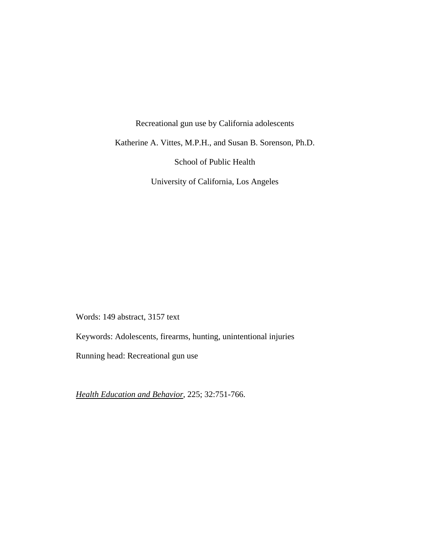Recreational gun use by California adolescents

Katherine A. Vittes, M.P.H., and Susan B. Sorenson, Ph.D.

School of Public Health

University of California, Los Angeles

Words: 149 abstract, 3157 text

Keywords: Adolescents, firearms, hunting, unintentional injuries

Running head: Recreational gun use

*Health Education and Behavior*, 225; 32:751-766.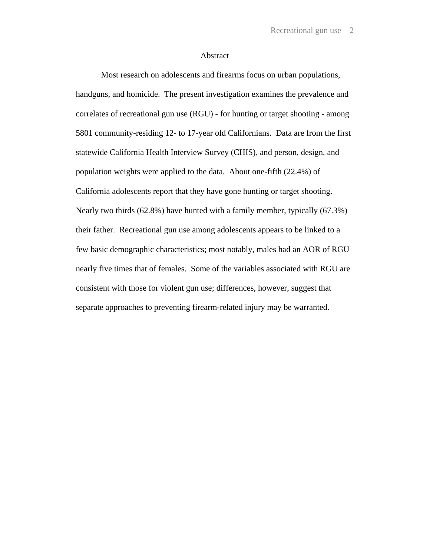## Abstract

Most research on adolescents and firearms focus on urban populations, handguns, and homicide. The present investigation examines the prevalence and correlates of recreational gun use (RGU) - for hunting or target shooting - among 5801 community-residing 12- to 17-year old Californians. Data are from the first statewide California Health Interview Survey (CHIS), and person, design, and population weights were applied to the data. About one-fifth (22.4%) of California adolescents report that they have gone hunting or target shooting. Nearly two thirds (62.8%) have hunted with a family member, typically (67.3%) their father. Recreational gun use among adolescents appears to be linked to a few basic demographic characteristics; most notably, males had an AOR of RGU nearly five times that of females. Some of the variables associated with RGU are consistent with those for violent gun use; differences, however, suggest that separate approaches to preventing firearm-related injury may be warranted.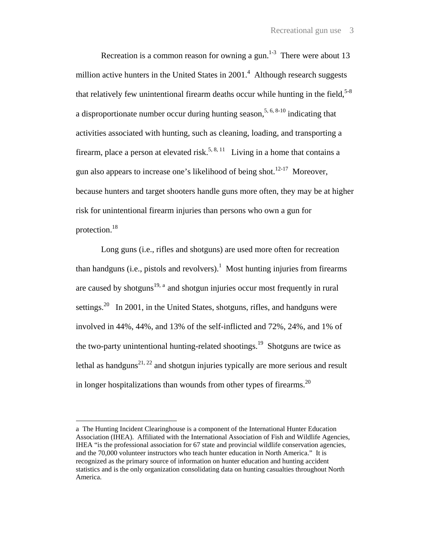Recreation is a common reason for owning a gun.<sup>1-3</sup> There were about 13 million active hunters in the United States in  $2001<sup>4</sup>$  Although research suggests that relatively few unintentional firearm deaths occur while hunting in the field,  $5-8$ a disproportionate number occur during hunting season,  $5, 6, 8\times10$  indicating that activities associated with hunting, such as cleaning, loading, and transporting a firearm, place a person at elevated risk.<sup>5, 8, 11</sup> Living in a home that contains a gun also appears to increase one's likelihood of being shot.<sup>12-17</sup> Moreover, because hunters and target shooters handle guns more often, they may be at higher risk for unintentional firearm injuries than persons who own a gun for protection.18

Long guns (i.e., rifles and shotguns) are used more often for recreation than handguns (i.e., pistols and revolvers).<sup>1</sup> Most hunting injuries from firearms [a](#page-4-0)re caused by shotguns<sup>19, a</sup> and shotgun injuries occur most frequently in rural settings.<sup>20</sup> In 2001, in the United States, shotguns, rifles, and handguns were involved in 44%, 44%, and 13% of the self-inflicted and 72%, 24%, and 1% of the two-party unintentional hunting-related shootings.<sup>19</sup> Shotguns are twice as lethal as handguns<sup>21, 22</sup> and shotgun injuries typically are more serious and result in longer hospitalizations than wounds from other types of firearms.<sup>20</sup>

 $\overline{a}$ 

<span id="page-4-0"></span>a The Hunting Incident Clearinghouse is a component of the International Hunter Education Association (IHEA). Affiliated with the International Association of Fish and Wildlife Agencies, IHEA "is the professional association for 67 state and provincial wildlife conservation agencies, and the 70,000 volunteer instructors who teach hunter education in North America." It is recognized as the primary source of information on hunter education and hunting accident statistics and is the only organization consolidating data on hunting casualties throughout North America.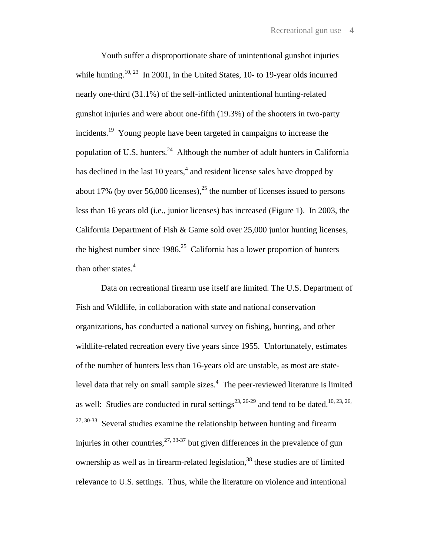Youth suffer a disproportionate share of unintentional gunshot injuries while hunting.<sup>10, 23</sup> In 2001, in the United States, 10- to 19-year olds incurred nearly one-third (31.1%) of the self-inflicted unintentional hunting-related gunshot injuries and were about one-fifth (19.3%) of the shooters in two-party incidents.<sup>19</sup> Young people have been targeted in campaigns to increase the population of U.S. hunters.<sup>24</sup> Although the number of adult hunters in California has declined in the last 10 years,<sup>4</sup> and resident license sales have dropped by about 17% (by over 56,000 licenses),<sup>25</sup> the number of licenses issued to persons less than 16 years old (i.e., junior licenses) has increased (Figure 1). In 2003, the California Department of Fish & Game sold over 25,000 junior hunting licenses, the highest number since  $1986$ <sup>25</sup> California has a lower proportion of hunters than other states. $4$ 

Data on recreational firearm use itself are limited. The U.S. Department of Fish and Wildlife, in collaboration with state and national conservation organizations, has conducted a national survey on fishing, hunting, and other wildlife-related recreation every five years since 1955. Unfortunately, estimates of the number of hunters less than 16-years old are unstable, as most are statelevel data that rely on small sample sizes. $4$  The peer-reviewed literature is limited as well: Studies are conducted in rural settings<sup>23, 26-29</sup> and tend to be dated.<sup>10, 23, 26,</sup>  $27, 30-33$  Several studies examine the relationship between hunting and firearm injuries in other countries,  $27, 33-37$  but given differences in the prevalence of gun ownership as well as in firearm-related legislation,  $38$  these studies are of limited relevance to U.S. settings. Thus, while the literature on violence and intentional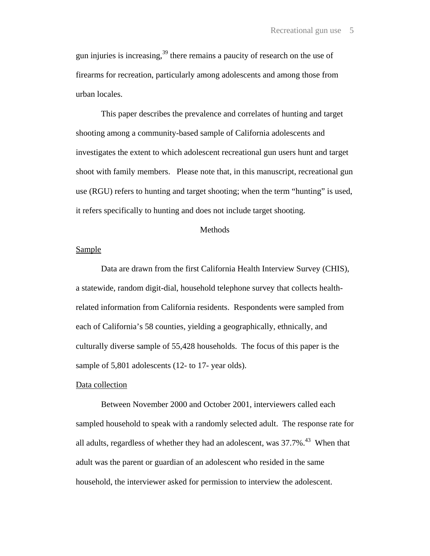gun injuries is increasing,  $39$  there remains a paucity of research on the use of firearms for recreation, particularly among adolescents and among those from urban locales.

This paper describes the prevalence and correlates of hunting and target shooting among a community-based sample of California adolescents and investigates the extent to which adolescent recreational gun users hunt and target shoot with family members. Please note that, in this manuscript, recreational gun use (RGU) refers to hunting and target shooting; when the term "hunting" is used, it refers specifically to hunting and does not include target shooting.

## Methods

## **Sample**

Data are drawn from the first California Health Interview Survey (CHIS), a statewide, random digit-dial, household telephone survey that collects healthrelated information from California residents. Respondents were sampled from each of California's 58 counties, yielding a geographically, ethnically, and culturally diverse sample of 55,428 households. The focus of this paper is the sample of 5,801 adolescents (12- to 17- year olds).

## Data collection

 Between November 2000 and October 2001, interviewers called each sampled household to speak with a randomly selected adult. The response rate for all adults, regardless of whether they had an adolescent, was  $37.7\%$ <sup>43</sup> When that adult was the parent or guardian of an adolescent who resided in the same household, the interviewer asked for permission to interview the adolescent.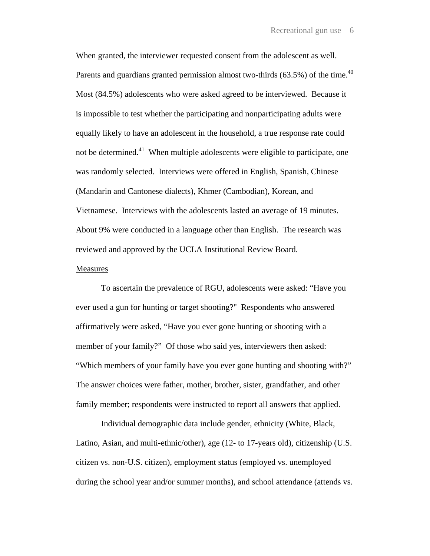When granted, the interviewer requested consent from the adolescent as well. Parents and guardians granted permission almost two-thirds  $(63.5%)$  of the time.<sup>40</sup> Most (84.5%) adolescents who were asked agreed to be interviewed. Because it is impossible to test whether the participating and nonparticipating adults were equally likely to have an adolescent in the household, a true response rate could not be determined.<sup>41</sup> When multiple adolescents were eligible to participate, one was randomly selected. Interviews were offered in English, Spanish, Chinese (Mandarin and Cantonese dialects), Khmer (Cambodian), Korean, and Vietnamese. Interviews with the adolescents lasted an average of 19 minutes. About 9% were conducted in a language other than English. The research was reviewed and approved by the UCLA Institutional Review Board.

#### Measures

To ascertain the prevalence of RGU, adolescents were asked: "Have you ever used a gun for hunting or target shooting?" Respondents who answered affirmatively were asked, "Have you ever gone hunting or shooting with a member of your family?" Of those who said yes, interviewers then asked: "Which members of your family have you ever gone hunting and shooting with?" The answer choices were father, mother, brother, sister, grandfather, and other family member; respondents were instructed to report all answers that applied.

Individual demographic data include gender, ethnicity (White, Black, Latino, Asian, and multi-ethnic/other), age (12- to 17-years old), citizenship (U.S. citizen vs. non-U.S. citizen), employment status (employed vs. unemployed during the school year and/or summer months), and school attendance (attends vs.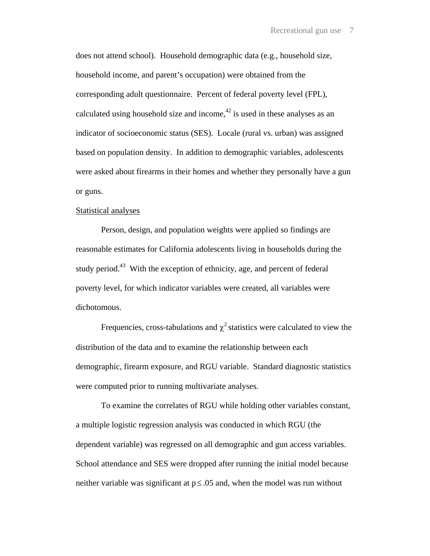does not attend school). Household demographic data (e.g., household size, household income, and parent's occupation) were obtained from the corresponding adult questionnaire. Percent of federal poverty level (FPL), calculated using household size and income,<sup> $42$ </sup> is used in these analyses as an indicator of socioeconomic status (SES). Locale (rural vs. urban) was assigned based on population density. In addition to demographic variables, adolescents were asked about firearms in their homes and whether they personally have a gun or guns.

## Statistical analyses

Person, design, and population weights were applied so findings are reasonable estimates for California adolescents living in households during the study period.<sup>43</sup> With the exception of ethnicity, age, and percent of federal poverty level, for which indicator variables were created, all variables were dichotomous.

Frequencies, cross-tabulations and  $\chi^2$  statistics were calculated to view the distribution of the data and to examine the relationship between each demographic, firearm exposure, and RGU variable. Standard diagnostic statistics were computed prior to running multivariate analyses.

To examine the correlates of RGU while holding other variables constant, a multiple logistic regression analysis was conducted in which RGU (the dependent variable) was regressed on all demographic and gun access variables. School attendance and SES were dropped after running the initial model because neither variable was significant at  $p \le 0.05$  and, when the model was run without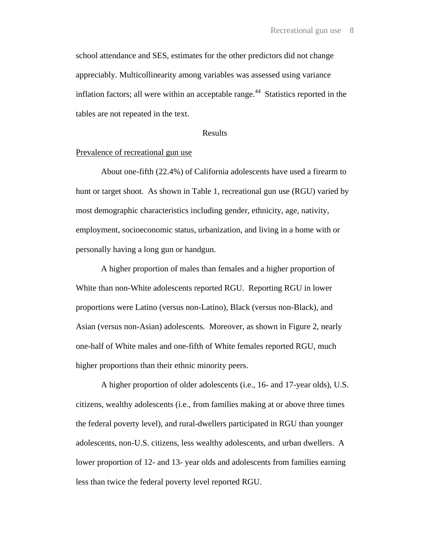school attendance and SES, estimates for the other predictors did not change appreciably. Multicollinearity among variables was assessed using variance inflation factors; all were within an acceptable range.<sup>44</sup> Statistics reported in the tables are not repeated in the text.

## Results

## Prevalence of recreational gun use

About one-fifth (22.4%) of California adolescents have used a firearm to hunt or target shoot. As shown in Table 1, recreational gun use (RGU) varied by most demographic characteristics including gender, ethnicity, age, nativity, employment, socioeconomic status, urbanization, and living in a home with or personally having a long gun or handgun.

A higher proportion of males than females and a higher proportion of White than non-White adolescents reported RGU. Reporting RGU in lower proportions were Latino (versus non-Latino), Black (versus non-Black), and Asian (versus non-Asian) adolescents. Moreover, as shown in Figure 2, nearly one-half of White males and one-fifth of White females reported RGU, much higher proportions than their ethnic minority peers.

A higher proportion of older adolescents (i.e., 16- and 17-year olds), U.S. citizens, wealthy adolescents (i.e., from families making at or above three times the federal poverty level), and rural-dwellers participated in RGU than younger adolescents, non-U.S. citizens, less wealthy adolescents, and urban dwellers. A lower proportion of 12- and 13- year olds and adolescents from families earning less than twice the federal poverty level reported RGU.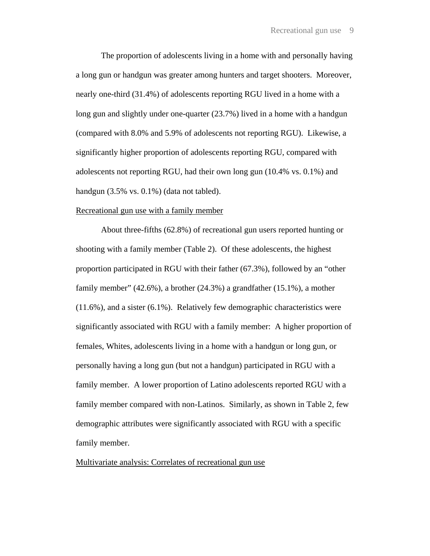The proportion of adolescents living in a home with and personally having a long gun or handgun was greater among hunters and target shooters. Moreover, nearly one-third (31.4%) of adolescents reporting RGU lived in a home with a long gun and slightly under one-quarter (23.7%) lived in a home with a handgun (compared with 8.0% and 5.9% of adolescents not reporting RGU). Likewise, a significantly higher proportion of adolescents reporting RGU, compared with adolescents not reporting RGU, had their own long gun (10.4% vs. 0.1%) and handgun (3.5% vs. 0.1%) (data not tabled).

## Recreational gun use with a family member

About three-fifths (62.8%) of recreational gun users reported hunting or shooting with a family member (Table 2). Of these adolescents, the highest proportion participated in RGU with their father (67.3%), followed by an "other family member" (42.6%), a brother (24.3%) a grandfather (15.1%), a mother (11.6%), and a sister (6.1%). Relatively few demographic characteristics were significantly associated with RGU with a family member: A higher proportion of females, Whites, adolescents living in a home with a handgun or long gun, or personally having a long gun (but not a handgun) participated in RGU with a family member. A lower proportion of Latino adolescents reported RGU with a family member compared with non-Latinos. Similarly, as shown in Table 2, few demographic attributes were significantly associated with RGU with a specific family member.

## Multivariate analysis: Correlates of recreational gun use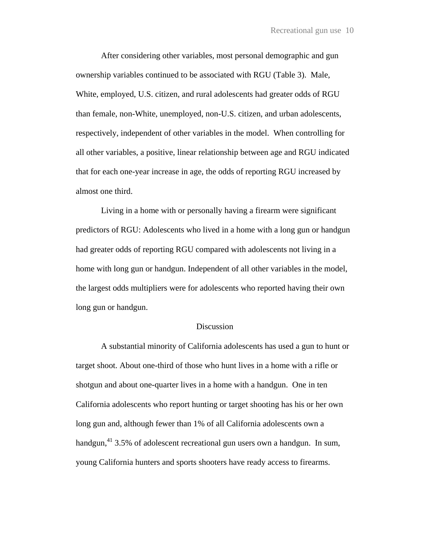After considering other variables, most personal demographic and gun ownership variables continued to be associated with RGU (Table 3). Male, White, employed, U.S. citizen, and rural adolescents had greater odds of RGU than female, non-White, unemployed, non-U.S. citizen, and urban adolescents, respectively, independent of other variables in the model. When controlling for all other variables, a positive, linear relationship between age and RGU indicated that for each one-year increase in age, the odds of reporting RGU increased by almost one third.

Living in a home with or personally having a firearm were significant predictors of RGU: Adolescents who lived in a home with a long gun or handgun had greater odds of reporting RGU compared with adolescents not living in a home with long gun or handgun. Independent of all other variables in the model, the largest odds multipliers were for adolescents who reported having their own long gun or handgun.

#### Discussion

A substantial minority of California adolescents has used a gun to hunt or target shoot. About one-third of those who hunt lives in a home with a rifle or shotgun and about one-quarter lives in a home with a handgun. One in ten California adolescents who report hunting or target shooting has his or her own long gun and, although fewer than 1% of all California adolescents own a handgun,<sup>41</sup> 3.5% of adolescent recreational gun users own a handgun. In sum, young California hunters and sports shooters have ready access to firearms.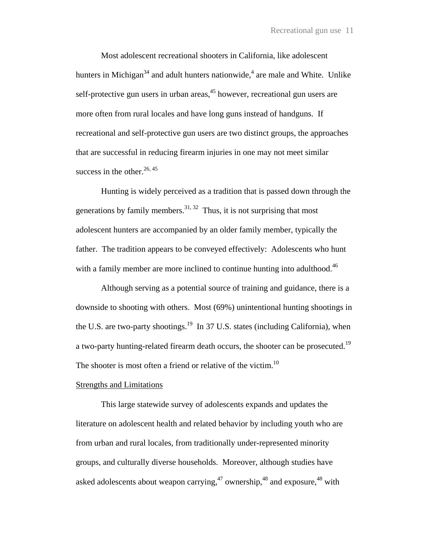Most adolescent recreational shooters in California, like adolescent hunters in Michigan<sup>34</sup> and adult hunters nationwide,<sup>4</sup> are male and White. Unlike self-protective gun users in urban areas,  $45$  however, recreational gun users are more often from rural locales and have long guns instead of handguns. If recreational and self-protective gun users are two distinct groups, the approaches that are successful in reducing firearm injuries in one may not meet similar success in the other. $26, 45$ 

Hunting is widely perceived as a tradition that is passed down through the generations by family members.<sup>31, 32</sup> Thus, it is not surprising that most adolescent hunters are accompanied by an older family member, typically the father. The tradition appears to be conveyed effectively: Adolescents who hunt with a family member are more inclined to continue hunting into adulthood.<sup>46</sup>

Although serving as a potential source of training and guidance, there is a downside to shooting with others. Most (69%) unintentional hunting shootings in the U.S. are two-party shootings.<sup>19</sup> In 37 U.S. states (including California), when a two-party hunting-related firearm death occurs, the shooter can be prosecuted.<sup>19</sup> The shooter is most often a friend or relative of the victim.<sup>10</sup>

## Strengths and Limitations

This large statewide survey of adolescents expands and updates the literature on adolescent health and related behavior by including youth who are from urban and rural locales, from traditionally under-represented minority groups, and culturally diverse households. Moreover, although studies have asked adolescents about weapon carrying,  $47$  ownership,  $48$  and exposure,  $48$  with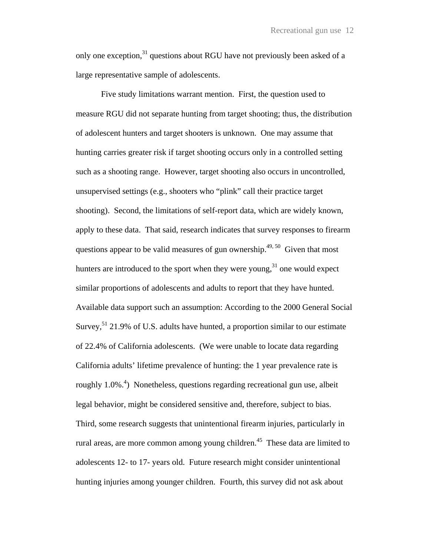only one exception,<sup>31</sup> questions about RGU have not previously been asked of a large representative sample of adolescents.

Five study limitations warrant mention. First, the question used to measure RGU did not separate hunting from target shooting; thus, the distribution of adolescent hunters and target shooters is unknown. One may assume that hunting carries greater risk if target shooting occurs only in a controlled setting such as a shooting range. However, target shooting also occurs in uncontrolled, unsupervised settings (e.g., shooters who "plink" call their practice target shooting). Second, the limitations of self-report data, which are widely known, apply to these data. That said, research indicates that survey responses to firearm questions appear to be valid measures of gun ownership.<sup>49, 50</sup> Given that most hunters are introduced to the sport when they were young,<sup>31</sup> one would expect similar proportions of adolescents and adults to report that they have hunted. Available data support such an assumption: According to the 2000 General Social Survey,  $51$  21.9% of U.S. adults have hunted, a proportion similar to our estimate of 22.4% of California adolescents. (We were unable to locate data regarding California adults' lifetime prevalence of hunting: the 1 year prevalence rate is roughly 1.0%.<sup>4</sup>) Nonetheless, questions regarding recreational gun use, albeit legal behavior, might be considered sensitive and, therefore, subject to bias. Third, some research suggests that unintentional firearm injuries, particularly in rural areas, are more common among young children.<sup>45</sup> These data are limited to adolescents 12- to 17- years old. Future research might consider unintentional hunting injuries among younger children. Fourth, this survey did not ask about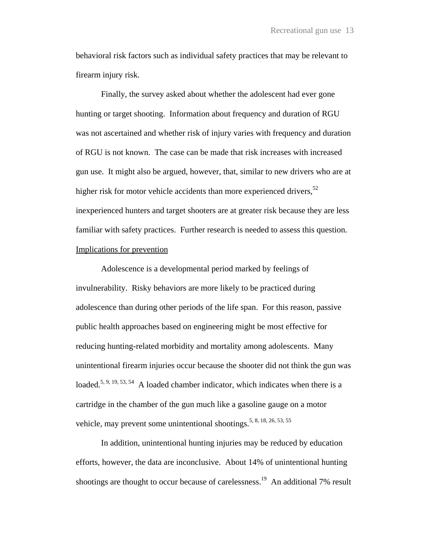behavioral risk factors such as individual safety practices that may be relevant to firearm injury risk.

Finally, the survey asked about whether the adolescent had ever gone hunting or target shooting. Information about frequency and duration of RGU was not ascertained and whether risk of injury varies with frequency and duration of RGU is not known. The case can be made that risk increases with increased gun use. It might also be argued, however, that, similar to new drivers who are at higher risk for motor vehicle accidents than more experienced drivers,  $52$ inexperienced hunters and target shooters are at greater risk because they are less familiar with safety practices. Further research is needed to assess this question. Implications for prevention

Adolescence is a developmental period marked by feelings of invulnerability. Risky behaviors are more likely to be practiced during adolescence than during other periods of the life span. For this reason, passive public health approaches based on engineering might be most effective for reducing hunting-related morbidity and mortality among adolescents. Many unintentional firearm injuries occur because the shooter did not think the gun was loaded.<sup>5, 9, 19, 53, 54</sup> A loaded chamber indicator, which indicates when there is a cartridge in the chamber of the gun much like a gasoline gauge on a motor vehicle, may prevent some unintentional shootings.<sup>5, 8, 18, 26, 53, 55</sup>

In addition, unintentional hunting injuries may be reduced by education efforts, however, the data are inconclusive. About 14% of unintentional hunting shootings are thought to occur because of carelessness.<sup>19</sup> An additional 7% result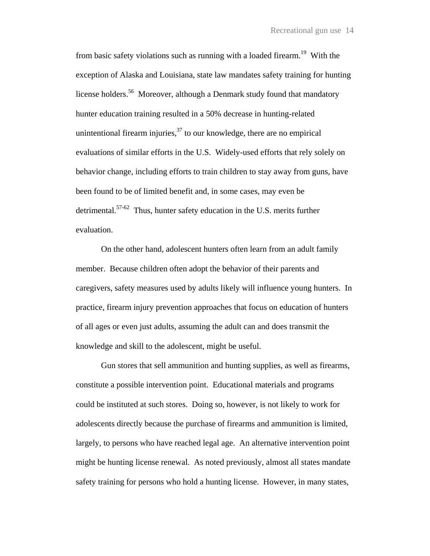from basic safety violations such as running with a loaded firearm.<sup>19</sup> With the exception of Alaska and Louisiana, state law mandates safety training for hunting license holders.<sup>56</sup> Moreover, although a Denmark study found that mandatory hunter education training resulted in a 50% decrease in hunting-related unintentional firearm injuries,  $37$  to our knowledge, there are no empirical evaluations of similar efforts in the U.S. Widely-used efforts that rely solely on behavior change, including efforts to train children to stay away from guns, have been found to be of limited benefit and, in some cases, may even be detrimental.57-62 Thus, hunter safety education in the U.S. merits further evaluation.

On the other hand, adolescent hunters often learn from an adult family member. Because children often adopt the behavior of their parents and caregivers, safety measures used by adults likely will influence young hunters. In practice, firearm injury prevention approaches that focus on education of hunters of all ages or even just adults, assuming the adult can and does transmit the knowledge and skill to the adolescent, might be useful.

Gun stores that sell ammunition and hunting supplies, as well as firearms, constitute a possible intervention point. Educational materials and programs could be instituted at such stores. Doing so, however, is not likely to work for adolescents directly because the purchase of firearms and ammunition is limited, largely, to persons who have reached legal age. An alternative intervention point might be hunting license renewal. As noted previously, almost all states mandate safety training for persons who hold a hunting license. However, in many states,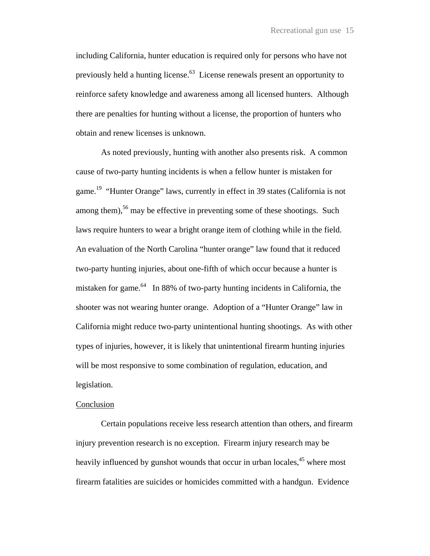including California, hunter education is required only for persons who have not previously held a hunting license.<sup>63</sup> License renewals present an opportunity to reinforce safety knowledge and awareness among all licensed hunters. Although there are penalties for hunting without a license, the proportion of hunters who obtain and renew licenses is unknown.

As noted previously, hunting with another also presents risk. A common cause of two-party hunting incidents is when a fellow hunter is mistaken for game.<sup>19</sup> "Hunter Orange" laws, currently in effect in 39 states (California is not among them),<sup>56</sup> may be effective in preventing some of these shootings. Such laws require hunters to wear a bright orange item of clothing while in the field. An evaluation of the North Carolina "hunter orange" law found that it reduced two-party hunting injuries, about one-fifth of which occur because a hunter is mistaken for game. $64$  In 88% of two-party hunting incidents in California, the shooter was not wearing hunter orange. Adoption of a "Hunter Orange" law in California might reduce two-party unintentional hunting shootings. As with other types of injuries, however, it is likely that unintentional firearm hunting injuries will be most responsive to some combination of regulation, education, and legislation.

## **Conclusion**

Certain populations receive less research attention than others, and firearm injury prevention research is no exception. Firearm injury research may be heavily influenced by gunshot wounds that occur in urban locales,<sup>45</sup> where most firearm fatalities are suicides or homicides committed with a handgun. Evidence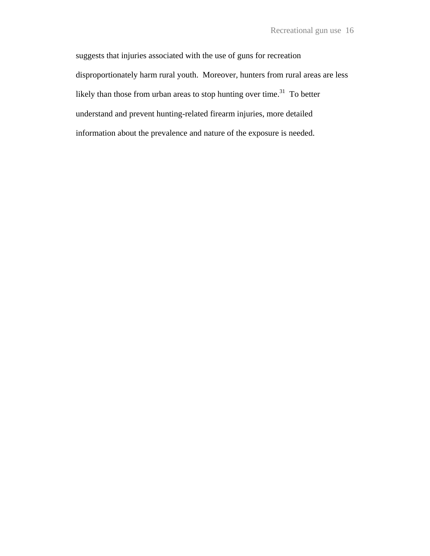suggests that injuries associated with the use of guns for recreation disproportionately harm rural youth. Moreover, hunters from rural areas are less likely than those from urban areas to stop hunting over time.<sup>31</sup> To better understand and prevent hunting-related firearm injuries, more detailed information about the prevalence and nature of the exposure is needed.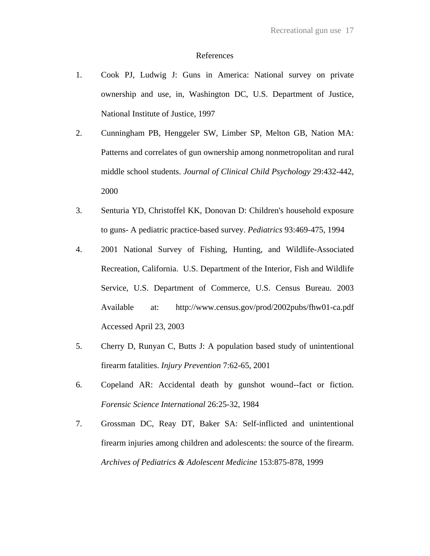#### References

- 1. Cook PJ, Ludwig J: Guns in America: National survey on private ownership and use, in, Washington DC, U.S. Department of Justice, National Institute of Justice, 1997
- 2. Cunningham PB, Henggeler SW, Limber SP, Melton GB, Nation MA: Patterns and correlates of gun ownership among nonmetropolitan and rural middle school students. *Journal of Clinical Child Psychology* 29:432-442, 2000
- 3. Senturia YD, Christoffel KK, Donovan D: Children's household exposure to guns- A pediatric practice-based survey. *Pediatrics* 93:469-475, 1994
- 4. 2001 National Survey of Fishing, Hunting, and Wildlife-Associated Recreation, California. U.S. Department of the Interior, Fish and Wildlife Service, U.S. Department of Commerce, U.S. Census Bureau. 2003 Available at: http://www.census.gov/prod/2002pubs/fhw01-ca.pdf Accessed April 23, 2003
- 5. Cherry D, Runyan C, Butts J: A population based study of unintentional firearm fatalities. *Injury Prevention* 7:62-65, 2001
- 6. Copeland AR: Accidental death by gunshot wound--fact or fiction. *Forensic Science International* 26:25-32, 1984
- 7. Grossman DC, Reay DT, Baker SA: Self-inflicted and unintentional firearm injuries among children and adolescents: the source of the firearm. *Archives of Pediatrics & Adolescent Medicine* 153:875-878, 1999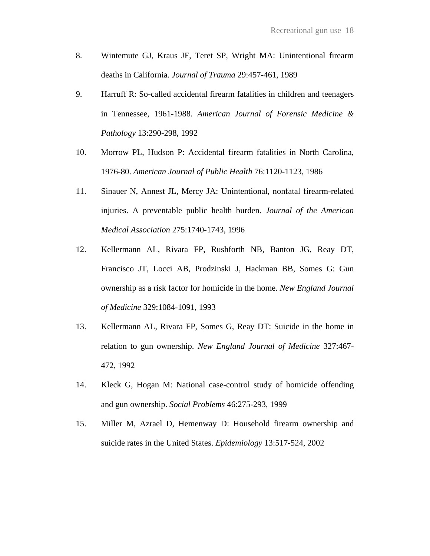- 8. Wintemute GJ, Kraus JF, Teret SP, Wright MA: Unintentional firearm deaths in California. *Journal of Trauma* 29:457-461, 1989
- 9. Harruff R: So-called accidental firearm fatalities in children and teenagers in Tennessee, 1961-1988. *American Journal of Forensic Medicine & Pathology* 13:290-298, 1992
- 10. Morrow PL, Hudson P: Accidental firearm fatalities in North Carolina, 1976-80. *American Journal of Public Health* 76:1120-1123, 1986
- 11. Sinauer N, Annest JL, Mercy JA: Unintentional, nonfatal firearm-related injuries. A preventable public health burden. *Journal of the American Medical Association* 275:1740-1743, 1996
- 12. Kellermann AL, Rivara FP, Rushforth NB, Banton JG, Reay DT, Francisco JT, Locci AB, Prodzinski J, Hackman BB, Somes G: Gun ownership as a risk factor for homicide in the home. *New England Journal of Medicine* 329:1084-1091, 1993
- 13. Kellermann AL, Rivara FP, Somes G, Reay DT: Suicide in the home in relation to gun ownership. *New England Journal of Medicine* 327:467- 472, 1992
- 14. Kleck G, Hogan M: National case-control study of homicide offending and gun ownership. *Social Problems* 46:275-293, 1999
- 15. Miller M, Azrael D, Hemenway D: Household firearm ownership and suicide rates in the United States. *Epidemiology* 13:517-524, 2002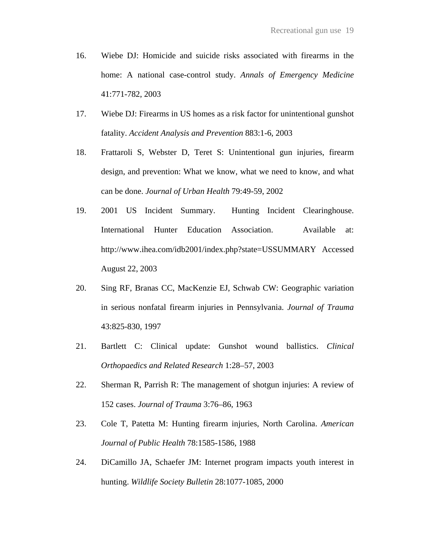- 16. Wiebe DJ: Homicide and suicide risks associated with firearms in the home: A national case-control study. *Annals of Emergency Medicine* 41:771-782, 2003
- 17. Wiebe DJ: Firearms in US homes as a risk factor for unintentional gunshot fatality. *Accident Analysis and Prevention* 883:1-6, 2003
- 18. Frattaroli S, Webster D, Teret S: Unintentional gun injuries, firearm design, and prevention: What we know, what we need to know, and what can be done. *Journal of Urban Health* 79:49-59, 2002
- 19. 2001 US Incident Summary. Hunting Incident Clearinghouse. International Hunter Education Association. Available at: http://www.ihea.com/idb2001/index.php?state=USSUMMARY Accessed August 22, 2003
- 20. Sing RF, Branas CC, MacKenzie EJ, Schwab CW: Geographic variation in serious nonfatal firearm injuries in Pennsylvania. *Journal of Trauma* 43:825-830, 1997
- 21. Bartlett C: Clinical update: Gunshot wound ballistics. *Clinical Orthopaedics and Related Research* 1:28–57, 2003
- 22. Sherman R, Parrish R: The management of shotgun injuries: A review of 152 cases. *Journal of Trauma* 3:76–86, 1963
- 23. Cole T, Patetta M: Hunting firearm injuries, North Carolina. *American Journal of Public Health* 78:1585-1586, 1988
- 24. DiCamillo JA, Schaefer JM: Internet program impacts youth interest in hunting. *Wildlife Society Bulletin* 28:1077-1085, 2000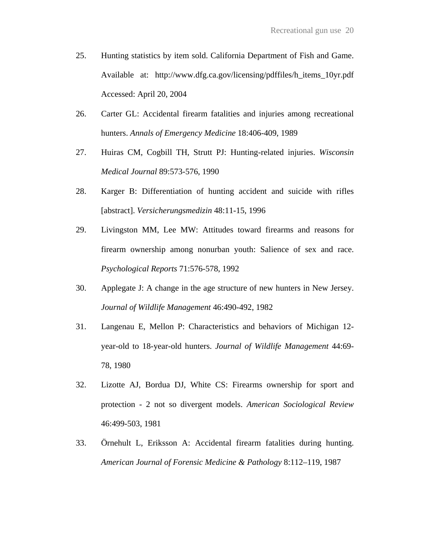- 25. Hunting statistics by item sold. California Department of Fish and Game. Available at: http://www.dfg.ca.gov/licensing/pdffiles/h\_items\_10yr.pdf Accessed: April 20, 2004
- 26. Carter GL: Accidental firearm fatalities and injuries among recreational hunters. *Annals of Emergency Medicine* 18:406-409, 1989
- 27. Huiras CM, Cogbill TH, Strutt PJ: Hunting-related injuries. *Wisconsin Medical Journal* 89:573-576, 1990
- 28. Karger B: Differentiation of hunting accident and suicide with rifles [abstract]. *Versicherungsmedizin* 48:11-15, 1996
- 29. Livingston MM, Lee MW: Attitudes toward firearms and reasons for firearm ownership among nonurban youth: Salience of sex and race. *Psychological Reports* 71:576-578, 1992
- 30. Applegate J: A change in the age structure of new hunters in New Jersey. *Journal of Wildlife Management* 46:490-492, 1982
- 31. Langenau E, Mellon P: Characteristics and behaviors of Michigan 12 year-old to 18-year-old hunters. *Journal of Wildlife Management* 44:69- 78, 1980
- 32. Lizotte AJ, Bordua DJ, White CS: Firearms ownership for sport and protection - 2 not so divergent models. *American Sociological Review* 46:499-503, 1981
- 33. Örnehult L, Eriksson A: Accidental firearm fatalities during hunting. *American Journal of Forensic Medicine & Pathology* 8:112–119, 1987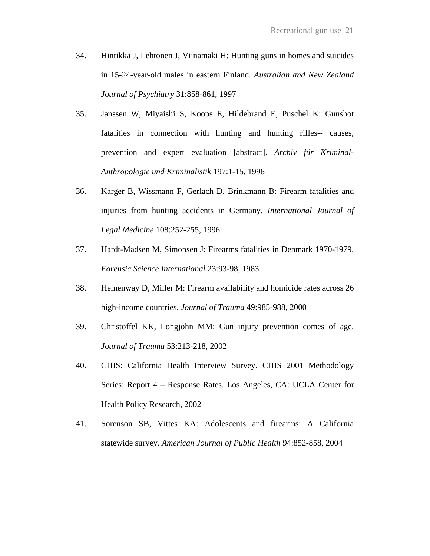- 34. Hintikka J, Lehtonen J, Viinamaki H: Hunting guns in homes and suicides in 15-24-year-old males in eastern Finland. *Australian and New Zealand Journal of Psychiatry* 31:858-861, 1997
- 35. Janssen W, Miyaishi S, Koops E, Hildebrand E, Puschel K: Gunshot fatalities in connection with hunting and hunting rifles-- causes, prevention and expert evaluation [abstract]. *Archiv für Kriminal-Anthropologie und Kriminalistik* 197:1-15, 1996
- 36. Karger B, Wissmann F, Gerlach D, Brinkmann B: Firearm fatalities and injuries from hunting accidents in Germany. *International Journal of Legal Medicine* 108:252-255, 1996
- 37. Hardt-Madsen M, Simonsen J: Firearms fatalities in Denmark 1970-1979. *Forensic Science International* 23:93-98, 1983
- 38. Hemenway D, Miller M: Firearm availability and homicide rates across 26 high-income countries. *Journal of Trauma* 49:985-988, 2000
- 39. Christoffel KK, Longjohn MM: Gun injury prevention comes of age. *Journal of Trauma* 53:213-218, 2002
- 40. CHIS: California Health Interview Survey. CHIS 2001 Methodology Series: Report 4 – Response Rates. Los Angeles, CA: UCLA Center for Health Policy Research, 2002
- 41. Sorenson SB, Vittes KA: Adolescents and firearms: A California statewide survey. *American Journal of Public Health* 94:852-858, 2004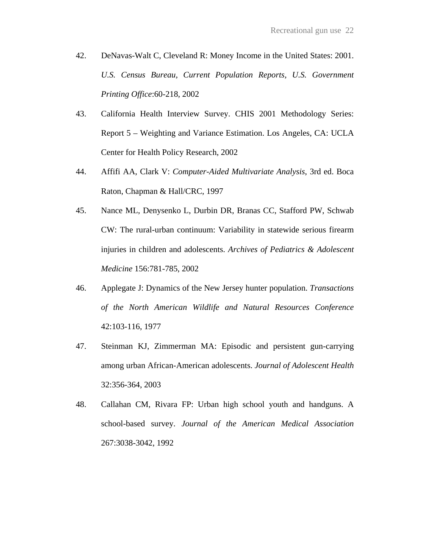- 42. DeNavas-Walt C, Cleveland R: Money Income in the United States: 2001. *U.S. Census Bureau, Current Population Reports, U.S. Government Printing Office*:60-218, 2002
- 43. California Health Interview Survey. CHIS 2001 Methodology Series: Report 5 – Weighting and Variance Estimation. Los Angeles, CA: UCLA Center for Health Policy Research, 2002
- 44. Affifi AA, Clark V: *Computer-Aided Multivariate Analysis*, 3rd ed. Boca Raton, Chapman & Hall/CRC, 1997
- 45. Nance ML, Denysenko L, Durbin DR, Branas CC, Stafford PW, Schwab CW: The rural-urban continuum: Variability in statewide serious firearm injuries in children and adolescents. *Archives of Pediatrics & Adolescent Medicine* 156:781-785, 2002
- 46. Applegate J: Dynamics of the New Jersey hunter population. *Transactions of the North American Wildlife and Natural Resources Conference* 42:103-116, 1977
- 47. Steinman KJ, Zimmerman MA: Episodic and persistent gun-carrying among urban African-American adolescents. *Journal of Adolescent Health* 32:356-364, 2003
- 48. Callahan CM, Rivara FP: Urban high school youth and handguns. A school-based survey. *Journal of the American Medical Association* 267:3038-3042, 1992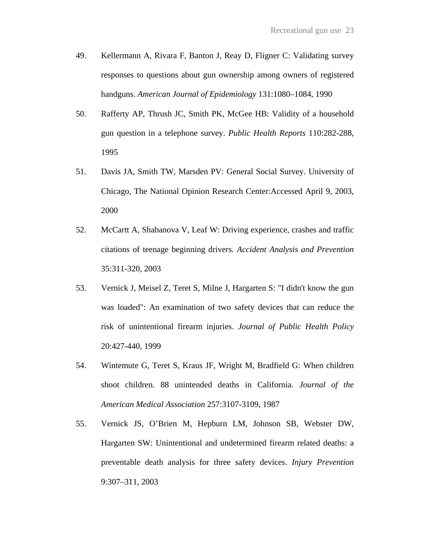- 49. Kellermann A, Rivara F, Banton J, Reay D, Fligner C: Validating survey responses to questions about gun ownership among owners of registered handguns. *American Journal of Epidemiology* 131:1080–1084, 1990
- 50. Rafferty AP, Thrush JC, Smith PK, McGee HB: Validity of a household gun question in a telephone survey. *Public Health Reports* 110:282-288, 1995
- 51. Davis JA, Smith TW, Marsden PV: General Social Survey. University of Chicago, The National Opinion Research Center:Accessed April 9, 2003, 2000
- 52. McCartt A, Shabanova V, Leaf W: Driving experience, crashes and traffic citations of teenage beginning drivers. *Accident Analysis and Prevention* 35:311-320, 2003
- 53. Vernick J, Meisel Z, Teret S, Milne J, Hargarten S: "I didn't know the gun was loaded": An examination of two safety devices that can reduce the risk of unintentional firearm injuries. *Journal of Public Health Policy* 20:427-440, 1999
- 54. Wintemute G, Teret S, Kraus JF, Wright M, Bradfield G: When children shoot children. 88 unintended deaths in California. *Journal of the American Medical Association* 257:3107-3109, 1987
- 55. Vernick JS, O'Brien M, Hepburn LM, Johnson SB, Webster DW, Hargarten SW: Unintentional and undetermined firearm related deaths: a preventable death analysis for three safety devices. *Injury Prevention* 9:307–311, 2003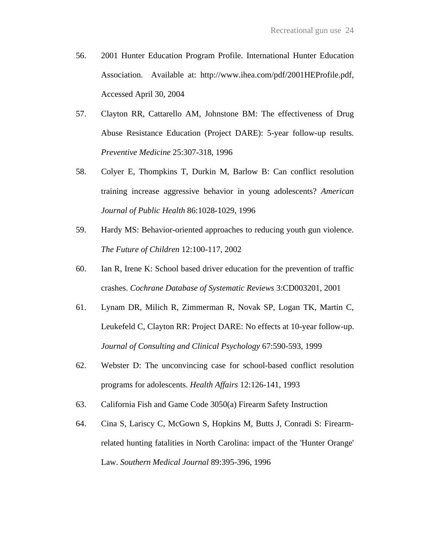- 56. 2001 Hunter Education Program Profile. International Hunter Education Association. Available at: http://www.ihea.com/pdf/2001HEProfile.pdf, Accessed April 30, 2004
- 57. Clayton RR, Cattarello AM, Johnstone BM: The effectiveness of Drug Abuse Resistance Education (Project DARE): 5-year follow-up results. *Preventive Medicine* 25:307-318, 1996
- 58. Colyer E, Thompkins T, Durkin M, Barlow B: Can conflict resolution training increase aggressive behavior in young adolescents? *American Journal of Public Health* 86:1028-1029, 1996
- 59. Hardy MS: Behavior-oriented approaches to reducing youth gun violence. *The Future of Children* 12:100-117, 2002
- 60. Ian R, Irene K: School based driver education for the prevention of traffic crashes. *Cochrane Database of Systematic Reviews* 3:CD003201, 2001
- 61. Lynam DR, Milich R, Zimmerman R, Novak SP, Logan TK, Martin C, Leukefeld C, Clayton RR: Project DARE: No effects at 10-year follow-up. *Journal of Consulting and Clinical Psychology* 67:590-593, 1999
- 62. Webster D: The unconvincing case for school-based conflict resolution programs for adolescents. *Health Affairs* 12:126-141, 1993
- 63. California Fish and Game Code 3050(a) Firearm Safety Instruction
- 64. Cina S, Lariscy C, McGown S, Hopkins M, Butts J, Conradi S: Firearmrelated hunting fatalities in North Carolina: impact of the 'Hunter Orange' Law. *Southern Medical Journal* 89:395-396, 1996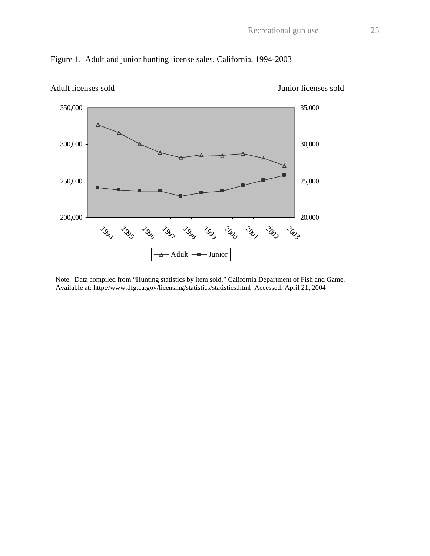

## Figure 1. Adult and junior hunting license sales, California, 1994-2003

Note. Data compiled from "Hunting statistics by item sold," California Department of Fish and Game. Available at: http://www.dfg.ca.gov/licensing/statistics/statistics.html Accessed: April 21, 2004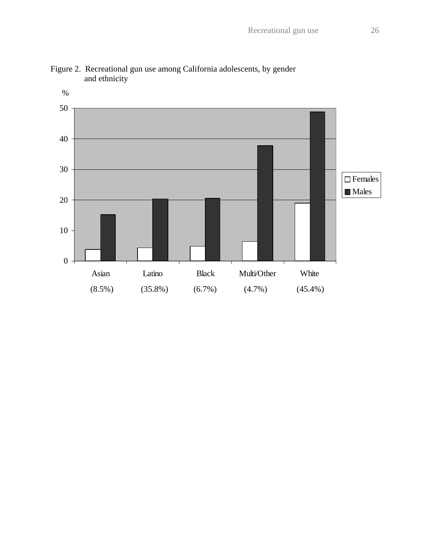

Figure 2. Recreational gun use among California adolescents, by gender and ethnicity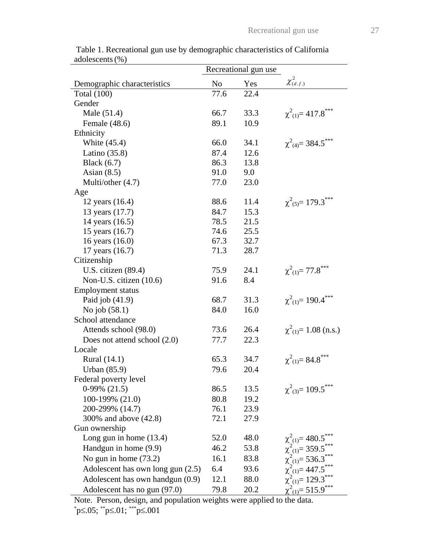|                                   |                | Recreational gun use |                                                                                                                                                    |
|-----------------------------------|----------------|----------------------|----------------------------------------------------------------------------------------------------------------------------------------------------|
| Demographic characteristics       | N <sub>0</sub> | Yes                  | $\chi^2_{(d.f.)}$                                                                                                                                  |
| <b>Total</b> (100)                | 77.6           | 22.4                 |                                                                                                                                                    |
| Gender                            |                |                      |                                                                                                                                                    |
| Male (51.4)                       | 66.7           | 33.3                 | $\chi^2_{(1)} = 417.8$ ***                                                                                                                         |
| Female (48.6)                     | 89.1           | 10.9                 |                                                                                                                                                    |
| Ethnicity                         |                |                      |                                                                                                                                                    |
| White (45.4)                      | 66.0           | 34.1                 | $\chi^2_{(4)} = 384.5$ ***                                                                                                                         |
| Latino $(35.8)$                   | 87.4           | 12.6                 |                                                                                                                                                    |
| Black $(6.7)$                     | 86.3           | 13.8                 |                                                                                                                                                    |
| Asian $(8.5)$                     | 91.0           | 9.0                  |                                                                                                                                                    |
| Multi/other (4.7)                 | 77.0           | 23.0                 |                                                                                                                                                    |
| Age                               |                |                      |                                                                                                                                                    |
| 12 years (16.4)                   | 88.6           | 11.4                 | $\chi^2_{(5)} = 179.3$ ***                                                                                                                         |
| 13 years (17.7)                   | 84.7           | 15.3                 |                                                                                                                                                    |
| 14 years (16.5)                   | 78.5           | 21.5                 |                                                                                                                                                    |
| 15 years (16.7)                   | 74.6           | 25.5                 |                                                                                                                                                    |
| 16 years (16.0)                   | 67.3           | 32.7                 |                                                                                                                                                    |
| 17 years (16.7)                   | 71.3           | 28.7                 |                                                                                                                                                    |
| Citizenship                       |                |                      |                                                                                                                                                    |
| U.S. citizen $(89.4)$             | 75.9           | 24.1                 | $\chi^2_{(1)} = 77.8$ ***                                                                                                                          |
| Non-U.S. citizen (10.6)           | 91.6           | 8.4                  |                                                                                                                                                    |
| <b>Employment status</b>          |                |                      |                                                                                                                                                    |
| Paid job $(41.9)$                 | 68.7           | 31.3                 | $\chi^2_{(1)} = 190.4$ ***                                                                                                                         |
| No job (58.1)                     | 84.0           | 16.0                 |                                                                                                                                                    |
| School attendance                 |                |                      |                                                                                                                                                    |
| Attends school (98.0)             | 73.6           | 26.4                 | $\chi^2_{(1)} = 1.08$ (n.s.)                                                                                                                       |
| Does not attend school (2.0)      | 77.7           | 22.3                 |                                                                                                                                                    |
| Locale                            |                |                      |                                                                                                                                                    |
| Rural (14.1)                      | 65.3           | 34.7                 | $\chi^2_{(1)} = 84.8$ ***                                                                                                                          |
| <b>Urban</b> (85.9)               | 79.6           | 20.4                 |                                                                                                                                                    |
| Federal poverty level             |                |                      |                                                                                                                                                    |
| $0-99\%$ (21.5)                   | 86.5           | 13.5                 | $\chi^2_{(3)} = 109.5$ ***                                                                                                                         |
| 100-199% (21.0)                   | 80.8           | 19.2                 |                                                                                                                                                    |
| 200-299% (14.7)                   | 76.1           | 23.9                 |                                                                                                                                                    |
| 300% and above (42.8)             | 72.1           | 27.9                 |                                                                                                                                                    |
| Gun ownership                     |                |                      |                                                                                                                                                    |
| Long gun in home $(13.4)$         | 52.0           | 48.0                 |                                                                                                                                                    |
| Handgun in home (9.9)             | 46.2           | 53.8                 |                                                                                                                                                    |
| No gun in home $(73.2)$           | 16.1           | 83.8                 |                                                                                                                                                    |
| Adolescent has own long gun (2.5) | 6.4            | 93.6                 |                                                                                                                                                    |
| Adolescent has own handgun (0.9)  | 12.1           | 88.0                 | $\chi^2_{(1)} = 480.5$ ***<br>$\chi^2_{(1)} = 359.5$ ***<br>$\chi^2_{(1)} = 536.3$ ***<br>$\chi^2_{(1)} = 447.5$ ***<br>$\chi^2_{(1)} = 129.3$ *** |
| Adolescent has no gun (97.0)      | 79.8           | 20.2                 | $\chi^2_{(1)} = 515.9$ ***                                                                                                                         |
|                                   |                |                      |                                                                                                                                                    |

 Table 1. Recreational gun use by demographic characteristics of California adolescents(%)

Note. Person, design, and population weights were applied to the data.<br>
<sup>\*</sup>p≤.05; <sup>\*\*</sup>p≤.01; <sup>\*\*\*</sup>p≤.001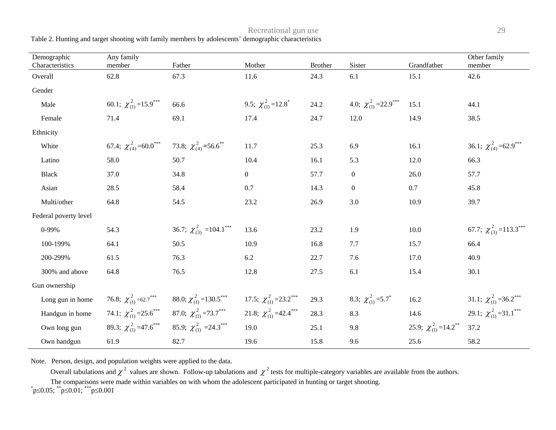Table 2. Hunting and target shooting with family members by adolescents' demographic characteristics

| Demographic<br>Characteristics | Any family<br>member                                               | Father                                                                                   | Mother                                      | <b>Brother</b> | Sister                                     | Grandfather                                | Other family<br>member                       |
|--------------------------------|--------------------------------------------------------------------|------------------------------------------------------------------------------------------|---------------------------------------------|----------------|--------------------------------------------|--------------------------------------------|----------------------------------------------|
| Overall                        | 62.8                                                               | 67.3                                                                                     | 11.6                                        | 24.3           | 6.1                                        | 15.1                                       | 42.6                                         |
| Gender                         |                                                                    |                                                                                          |                                             |                |                                            |                                            |                                              |
| Male                           | 60.1; $\chi^{2}_{(1)}$ = 15.9 <sup>***</sup>                       | 66.6                                                                                     | 9.5; $\chi^{2}_{(1)}$ = 12.8 <sup>*</sup>   | 24.2           | 4.0; $\chi^{2}_{(1)}$ =22.9 <sup>***</sup> | 15.1                                       | 44.1                                         |
| Female                         | 71.4                                                               | 69.1                                                                                     | 17.4                                        | 24.7           | 12.0                                       | 14.9                                       | 38.5                                         |
| Ethnicity                      |                                                                    |                                                                                          |                                             |                |                                            |                                            |                                              |
| White                          | 67.4; $\chi^2_{(4)} = 60.0^{***}$ 73.8; $\chi^2_{(4)} = 56.6^{**}$ |                                                                                          | 11.7                                        | 25.3           | 6.9                                        | 16.1                                       | 36.1; $\chi^{2}_{(4)}$ =62.9 <sup>***</sup>  |
| Latino                         | 58.0                                                               | 50.7                                                                                     | 10.4                                        | 16.1           | 5.3                                        | 12.0                                       | 66.3                                         |
| <b>Black</b>                   | 37.0                                                               | 34.8                                                                                     | $\overline{0}$                              | 57.7           | $\overline{0}$                             | 26.0                                       | 57.7                                         |
| Asian                          | 28.5                                                               | 58.4                                                                                     | 0.7                                         | 14.3           | $\overline{0}$                             | 0.7                                        | 45.8                                         |
| Multi/other                    | 64.8                                                               | 54.5                                                                                     | 23.2                                        | 26.9           | 3.0                                        | 10.9                                       | 39.7                                         |
| Federal poverty level          |                                                                    |                                                                                          |                                             |                |                                            |                                            |                                              |
| 0-99%                          | 54.3                                                               | 36.7; $\chi^2_{(3)}$ =104.1***                                                           | 13.6                                        | 23.2           | 1.9                                        | 10.0                                       | 67.7; $\chi^2_{(3)}$ = 113.3 <sup>***</sup>  |
| 100-199%                       | 64.1                                                               | 50.5                                                                                     | 10.9                                        | 16.8           | 7.7                                        | 15.7                                       | 66.4                                         |
| 200-299%                       | 61.5                                                               | 76.3                                                                                     | 6.2                                         | 22.7           | 7.6                                        | 17.0                                       | 40.9                                         |
| 300% and above                 | 64.8                                                               | 76.5                                                                                     | 12.8                                        | 27.5           | 6.1                                        | 15.4                                       | 30.1                                         |
| Gun ownership                  |                                                                    |                                                                                          |                                             |                |                                            |                                            |                                              |
| Long gun in home               |                                                                    | 76.8; $\chi^{2}_{(1)}$ =62.7 <sup>***</sup> 88.0; $\chi^{2}_{(1)}$ =130.5 <sup>***</sup> | 17.5; $\chi^{2}_{(1)}$ = 23.2***            | 29.3           | 8.3; $\chi^{2}_{(1)}$ =5.7 <sup>*</sup>    | 16.2                                       | 31.1; $\chi^{2}_{(1)}$ = 36.2 <sup>***</sup> |
| Handgun in home                |                                                                    | 74.1; $\chi^{2}_{(1)}$ = 25.6*** 87.0; $\chi^{2}_{(1)}$ = 73.7***                        | 21.8; $\chi^{2}_{(1)}$ =42.4 <sup>***</sup> | 28.3           | 8.3                                        | 14.6                                       | 29.1; $\chi^2_{(1)} = 31.1$ ***              |
| Own long gun                   |                                                                    | 89.3; $\chi^{2}_{(1)}$ =47.6 <sup>***</sup> 85.9; $\chi^{2}_{(1)}$ =24.3 <sup>***</sup>  | 19.0                                        | 25.1           | 9.8                                        | 25.9; $\chi^{2}_{(1)}$ =14.2 <sup>**</sup> | 37.2                                         |
| Own handgun                    | 61.9                                                               | 82.7                                                                                     | 19.6                                        | 15.8           | 9.6                                        | 25.6                                       | 58.2                                         |

Note. Person, design, and population weights were applied to the data.

Overall tabulations and  $\chi^2$  values are shown. Follow-up tabulations and  $\chi^2$  tests for multiple-category variables are available from the authors.

The comparisons were made within variables on with whom the adolescent participated in hunting or target shooting.

 $p \leq 0.05$ ;  $p \leq 0.01$ ;  $p \leq 0.001$